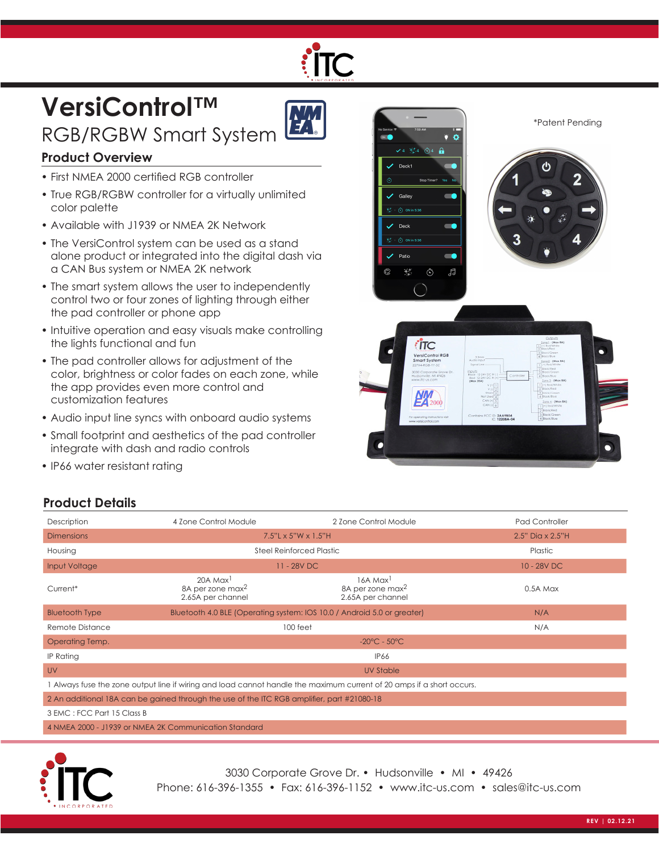# **VersiControl™**  RGB/RGBW Smart System



#### **Product Overview**

- First NMEA 2000 certified RGB controller
- True RGB/RGBW controller for a virtually unlimited color palette
- Available with J1939 or NMEA 2K Network
- The VersiControl system can be used as a stand alone product or integrated into the digital dash via a CAN Bus system or NMEA 2K network
- The smart system allows the user to independently control two or four zones of lighting through either the pad controller or phone app
- Intuitive operation and easy visuals make controlling the lights functional and fun
- The pad controller allows for adjustment of the color, brightness or color fades on each zone, while the app provides even more control and customization features
- Audio input line syncs with onboard audio systems
- Small footprint and aesthetics of the pad controller integrate with dash and radio controls
- IP66 water resistant rating

## **Product Details**





3030 Corporate Grove Dr. • Hudsonville • MI • 49426 Phone: 616-396-1355 • Fax: 616-396-1152 • www.itc-us.com • sales@itc-us.com

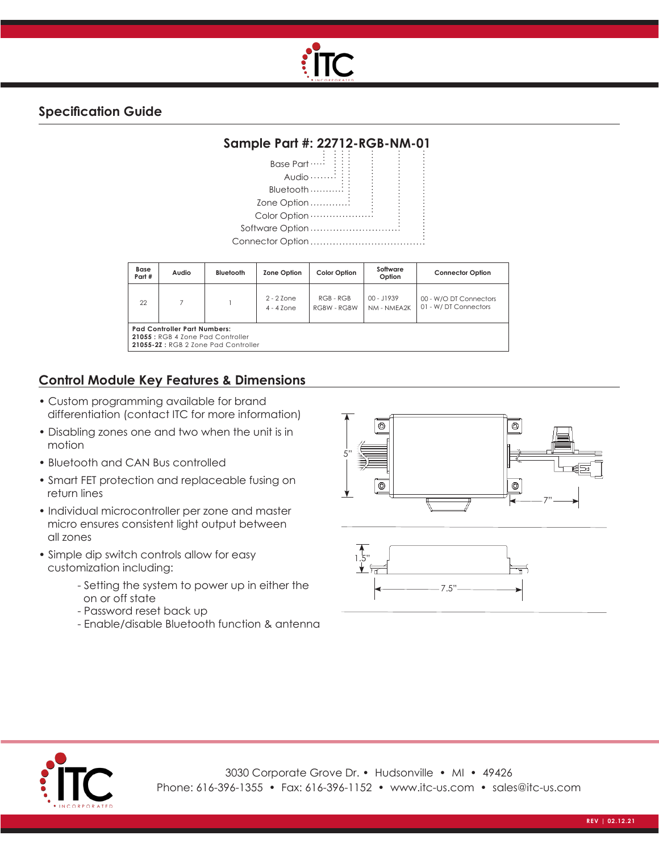

#### **Specification Guide**



| Base<br>Part #                                                                                                  | Audio | Bluetooth | <b>Zone Option</b>               | <b>Color Option</b>               | Software<br>Option        | <b>Connector Option</b>                        |
|-----------------------------------------------------------------------------------------------------------------|-------|-----------|----------------------------------|-----------------------------------|---------------------------|------------------------------------------------|
| 22                                                                                                              |       |           | $2 - 2$ 7 one<br>$4 - 4$ 7 $one$ | $RGB - RGB$<br><b>RGBW - RGBW</b> | 00 - J1939<br>NM - NMFA2K | 00 - W/O DT Connectors<br>01 - W/DT Connectors |
| <b>Pad Controller Part Numbers:</b><br>21055 : RGB 4 Zone Pad Controller<br>21055-27: RGB 2 Zone Pad Controller |       |           |                                  |                                   |                           |                                                |

#### **Control Module Key Features & Dimensions**

- Custom programming available for brand differentiation (contact ITC for more information)
- Disabling zones one and two when the unit is in motion
- Bluetooth and CAN Bus controlled
- Smart FET protection and replaceable fusing on return lines
- Individual microcontroller per zone and master micro ensures consistent light output between all zones
- Simple dip switch controls allow for easy customization including:
	- Setting the system to power up in either the on or off state
	- Password reset back up
	- Enable/disable Bluetooth function & antenna